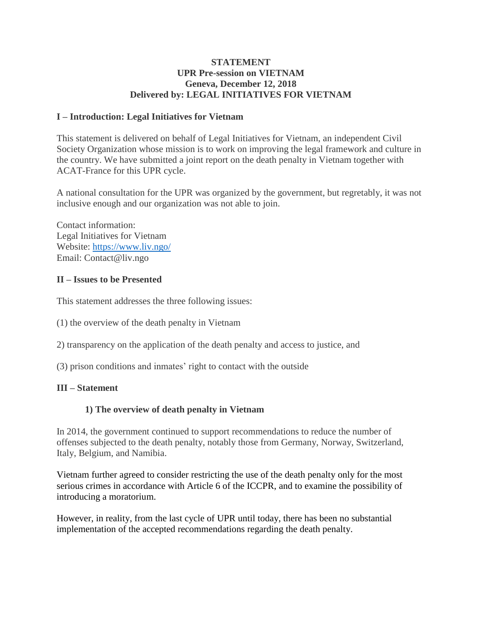## **STATEMENT UPR Pre-session on VIETNAM Geneva, December 12, 2018 Delivered by: LEGAL INITIATIVES FOR VIETNAM**

## **I – Introduction: Legal Initiatives for Vietnam**

This statement is delivered on behalf of Legal Initiatives for Vietnam, an independent Civil Society Organization whose mission is to work on improving the legal framework and culture in the country. We have submitted a joint report on the death penalty in Vietnam together with ACAT-France for this UPR cycle.

A national consultation for the UPR was organized by the government, but regretably, it was not inclusive enough and our organization was not able to join.

Contact information: Legal Initiatives for Vietnam Website:<https://www.liv.ngo/> Email: Contact@liv.ngo

#### **II – Issues to be Presented**

This statement addresses the three following issues:

- (1) the overview of the death penalty in Vietnam
- 2) transparency on the application of the death penalty and access to justice, and
- (3) prison conditions and inmates' right to contact with the outside

## **III – Statement**

## **1) The overview of death penalty in Vietnam**

In 2014, the government continued to support recommendations to reduce the number of offenses subjected to the death penalty, notably those from Germany, Norway, Switzerland, Italy, Belgium, and Namibia.

Vietnam further agreed to consider restricting the use of the death penalty only for the most serious crimes in accordance with Article 6 of the ICCPR, and to examine the possibility of introducing a moratorium.

However, in reality, from the last cycle of UPR until today, there has been no substantial implementation of the accepted recommendations regarding the death penalty.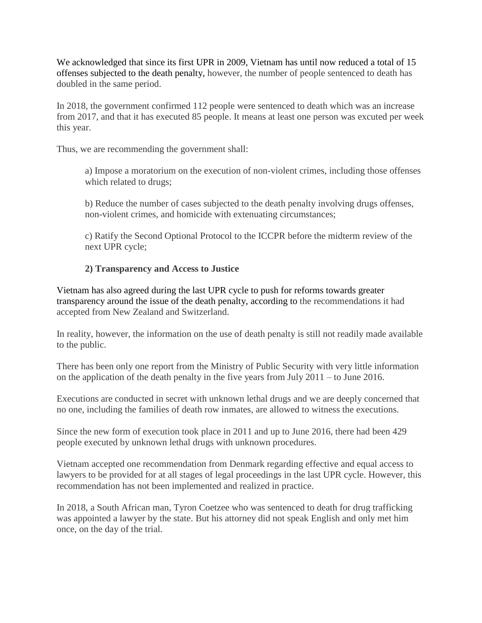We acknowledged that since its first UPR in 2009, Vietnam has until now reduced a total of 15 offenses subjected to the death penalty, however, the number of people sentenced to death has doubled in the same period.

In 2018, the government confirmed 112 people were sentenced to death which was an increase from 2017, and that it has executed 85 people. It means at least one person was excuted per week this year.

Thus, we are recommending the government shall:

a) Impose a moratorium on the execution of non-violent crimes, including those offenses which related to drugs;

b) Reduce the number of cases subjected to the death penalty involving drugs offenses, non-violent crimes, and homicide with extenuating circumstances;

c) Ratify the Second Optional Protocol to the ICCPR before the midterm review of the next UPR cycle;

# **2) Transparency and Access to Justice**

Vietnam has also agreed during the last UPR cycle to push for reforms towards greater transparency around the issue of the death penalty, according to the recommendations it had accepted from New Zealand and Switzerland.

In reality, however, the information on the use of death penalty is still not readily made available to the public.

There has been only one report from the Ministry of Public Security with very little information on the application of the death penalty in the five years from July 2011 – to June 2016.

Executions are conducted in secret with unknown lethal drugs and we are deeply concerned that no one, including the families of death row inmates, are allowed to witness the executions.

Since the new form of execution took place in 2011 and up to June 2016, there had been 429 people executed by unknown lethal drugs with unknown procedures.

Vietnam accepted one recommendation from Denmark regarding effective and equal access to lawyers to be provided for at all stages of legal proceedings in the last UPR cycle. However, this recommendation has not been implemented and realized in practice.

In 2018, a South African man, Tyron Coetzee who was sentenced to death for drug trafficking was appointed a lawyer by the state. But his attorney did not speak English and only met him once, on the day of the trial.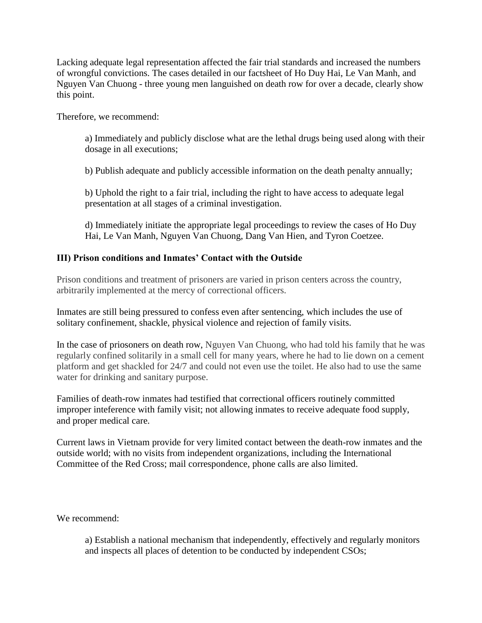Lacking adequate legal representation affected the fair trial standards and increased the numbers of wrongful convictions. The cases detailed in our factsheet of Ho Duy Hai, Le Van Manh, and Nguyen Van Chuong - three young men languished on death row for over a decade, clearly show this point.

Therefore, we recommend:

a) Immediately and publicly disclose what are the lethal drugs being used along with their dosage in all executions;

b) Publish adequate and publicly accessible information on the death penalty annually;

b) Uphold the right to a fair trial, including the right to have access to adequate legal presentation at all stages of a criminal investigation.

d) Immediately initiate the appropriate legal proceedings to review the cases of Ho Duy Hai, Le Van Manh, Nguyen Van Chuong, Dang Van Hien, and Tyron Coetzee.

## **III) Prison conditions and Inmates' Contact with the Outside**

Prison conditions and treatment of prisoners are varied in prison centers across the country, arbitrarily implemented at the mercy of correctional officers.

Inmates are still being pressured to confess even after sentencing, which includes the use of solitary confinement, shackle, physical violence and rejection of family visits.

In the case of priosoners on death row, Nguyen Van Chuong, who had told his family that he was regularly confined solitarily in a small cell for many years, where he had to lie down on a cement platform and get shackled for 24/7 and could not even use the toilet. He also had to use the same water for drinking and sanitary purpose.

Families of death-row inmates had testified that correctional officers routinely committed improper inteference with family visit; not allowing inmates to receive adequate food supply, and proper medical care.

Current laws in Vietnam provide for very limited contact between the death-row inmates and the outside world; with no visits from independent organizations, including the International Committee of the Red Cross; mail correspondence, phone calls are also limited.

We recommend:

a) Establish a national mechanism that independently, effectively and regularly monitors and inspects all places of detention to be conducted by independent CSOs;